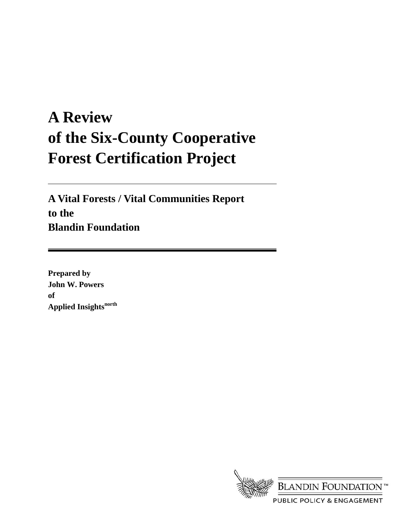# **A Review of the Six-County Cooperative Forest Certification Project**

**A Vital Forests / Vital Communities Report to the Blandin Foundation** 

**Prepared by John W. Powers of Applied Insightsnorth** 

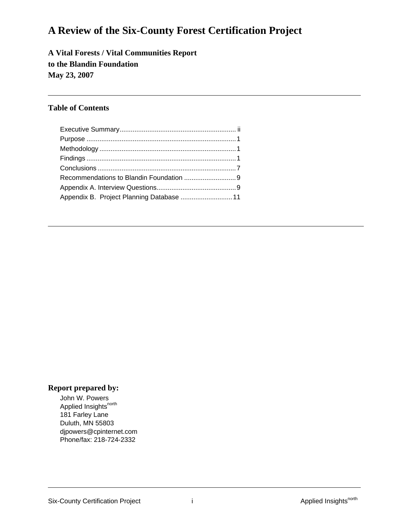## **A Review of the Six-County Forest Certification Project**

### **A Vital Forests / Vital Communities Report to the Blandin Foundation May 23, 2007**

### **Table of Contents**

| Appendix B. Project Planning Database  11 |  |
|-------------------------------------------|--|

### **Report prepared by:**

John W. Powers Applied Insights<sup>north</sup> 181 Farley Lane Duluth, MN 55803 djpowers@cpinternet.com Phone/fax: 218-724-2332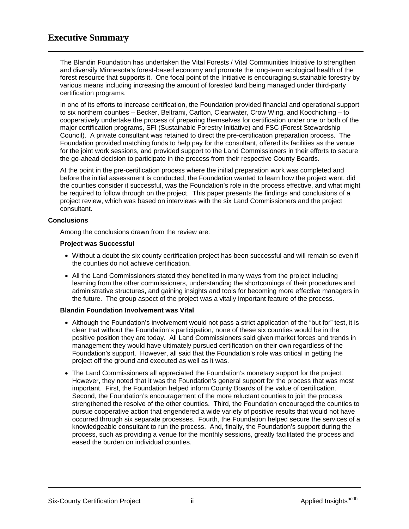The Blandin Foundation has undertaken the Vital Forests / Vital Communities Initiative to strengthen and diversify Minnesota's forest-based economy and promote the long-term ecological health of the forest resource that supports it. One focal point of the Initiative is encouraging sustainable forestry by various means including increasing the amount of forested land being managed under third-party certification programs.

In one of its efforts to increase certification, the Foundation provided financial and operational support to six northern counties – Becker, Beltrami, Carlton, Clearwater, Crow Wing, and Koochiching – to cooperatively undertake the process of preparing themselves for certification under one or both of the major certification programs, SFI (Sustainable Forestry Initiative) and FSC (Forest Stewardship Council). A private consultant was retained to direct the pre-certification preparation process. The Foundation provided matching funds to help pay for the consultant, offered its facilities as the venue for the joint work sessions, and provided support to the Land Commissioners in their efforts to secure the go-ahead decision to participate in the process from their respective County Boards.

At the point in the pre-certification process where the initial preparation work was completed and before the initial assessment is conducted, the Foundation wanted to learn how the project went, did the counties consider it successful, was the Foundation's role in the process effective, and what might be required to follow through on the project. This paper presents the findings and conclusions of a project review, which was based on interviews with the six Land Commissioners and the project consultant.

### **Conclusions**

Among the conclusions drawn from the review are:

### **Project was Successful**

- Without a doubt the six county certification project has been successful and will remain so even if the counties do not achieve certification.
- All the Land Commissioners stated they benefited in many ways from the project including learning from the other commissioners, understanding the shortcomings of their procedures and administrative structures, and gaining insights and tools for becoming more effective managers in the future. The group aspect of the project was a vitally important feature of the process.

### **Blandin Foundation Involvement was Vital**

- Although the Foundation's involvement would not pass a strict application of the "but for" test, it is clear that without the Foundation's participation, none of these six counties would be in the positive position they are today. All Land Commissioners said given market forces and trends in management they would have ultimately pursued certification on their own regardless of the Foundation's support. However, all said that the Foundation's role was critical in getting the project off the ground and executed as well as it was.
- The Land Commissioners all appreciated the Foundation's monetary support for the project. However, they noted that it was the Foundation's general support for the process that was most important. First, the Foundation helped inform County Boards of the value of certification. Second, the Foundation's encouragement of the more reluctant counties to join the process strengthened the resolve of the other counties. Third, the Foundation encouraged the counties to pursue cooperative action that engendered a wide variety of positive results that would not have occurred through six separate processes. Fourth, the Foundation helped secure the services of a knowledgeable consultant to run the process. And, finally, the Foundation's support during the process, such as providing a venue for the monthly sessions, greatly facilitated the process and eased the burden on individual counties.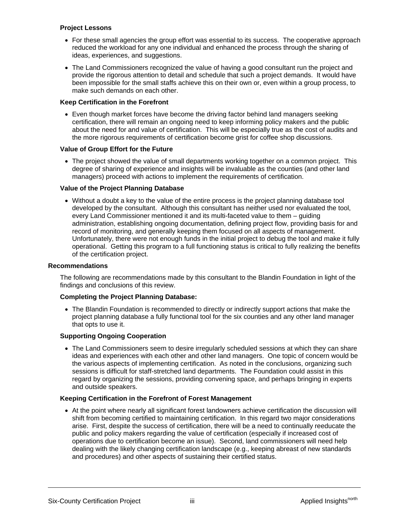### **Project Lessons**

- For these small agencies the group effort was essential to its success. The cooperative approach reduced the workload for any one individual and enhanced the process through the sharing of ideas, experiences, and suggestions.
- The Land Commissioners recognized the value of having a good consultant run the project and provide the rigorous attention to detail and schedule that such a project demands. It would have been impossible for the small staffs achieve this on their own or, even within a group process, to make such demands on each other.

### **Keep Certification in the Forefront**

• Even though market forces have become the driving factor behind land managers seeking certification, there will remain an ongoing need to keep informing policy makers and the public about the need for and value of certification. This will be especially true as the cost of audits and the more rigorous requirements of certification become grist for coffee shop discussions.

### **Value of Group Effort for the Future**

• The project showed the value of small departments working together on a common project. This degree of sharing of experience and insights will be invaluable as the counties (and other land managers) proceed with actions to implement the requirements of certification.

### **Value of the Project Planning Database**

• Without a doubt a key to the value of the entire process is the project planning database tool developed by the consultant. Although this consultant has neither used nor evaluated the tool, every Land Commissioner mentioned it and its multi-faceted value to them – guiding administration, establishing ongoing documentation, defining project flow, providing basis for and record of monitoring, and generally keeping them focused on all aspects of management. Unfortunately, there were not enough funds in the initial project to debug the tool and make it fully operational. Getting this program to a full functioning status is critical to fully realizing the benefits of the certification project.

#### **Recommendations**

The following are recommendations made by this consultant to the Blandin Foundation in light of the findings and conclusions of this review.

### **Completing the Project Planning Database:**

• The Blandin Foundation is recommended to directly or indirectly support actions that make the project planning database a fully functional tool for the six counties and any other land manager that opts to use it.

### **Supporting Ongoing Cooperation**

• The Land Commissioners seem to desire irregularly scheduled sessions at which they can share ideas and experiences with each other and other land managers. One topic of concern would be the various aspects of implementing certification. As noted in the conclusions, organizing such sessions is difficult for staff-stretched land departments. The Foundation could assist in this regard by organizing the sessions, providing convening space, and perhaps bringing in experts and outside speakers.

#### **Keeping Certification in the Forefront of Forest Management**

• At the point where nearly all significant forest landowners achieve certification the discussion will shift from becoming certified to maintaining certification. In this regard two major considerations arise. First, despite the success of certification, there will be a need to continually reeducate the public and policy makers regarding the value of certification (especially if increased cost of operations due to certification become an issue). Second, land commissioners will need help dealing with the likely changing certification landscape (e.g., keeping abreast of new standards and procedures) and other aspects of sustaining their certified status.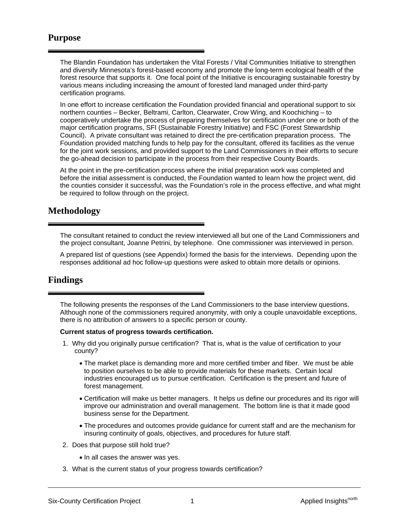### **Purpose**

The Blandin Foundation has undertaken the Vital Forests / Vital Communities Initiative to strengthen and diversify Minnesota's forest-based economy and promote the long-term ecological health of the forest resource that supports it. One focal point of the Initiative is encouraging sustainable forestry by various means including increasing the amount of forested land managed under third-party certification programs.

In one effort to increase certification the Foundation provided financial and operational support to six northern counties – Becker, Beltrami, Carlton, Clearwater, Crow Wing, and Koochiching – to cooperatively undertake the process of preparing themselves for certification under one or both of the major certification programs, SFI (Sustainable Forestry Initiative) and FSC (Forest Stewardship Council). A private consultant was retained to direct the pre-certification preparation process. The Foundation provided matching funds to help pay for the consultant, offered its facilities as the venue for the joint work sessions, and provided support to the Land Commissioners in their efforts to secure the go-ahead decision to participate in the process from their respective County Boards.

At the point in the pre-certification process where the initial preparation work was completed and before the initial assessment is conducted, the Foundation wanted to learn how the project went, did the counties consider it successful, was the Foundation's role in the process effective, and what might be required to follow through on the project.

### **Methodology**

The consultant retained to conduct the review interviewed all but one of the Land Commissioners and the project consultant, Joanne Petrini, by telephone. One commissioner was interviewed in person.

A prepared list of questions (see Appendix) formed the basis for the interviews. Depending upon the responses additional ad hoc follow-up questions were asked to obtain more details or opinions.

### **Findings**

The following presents the responses of the Land Commissioners to the base interview questions. Although none of the commissioners required anonymity, with only a couple unavoidable exceptions, there is no attribution of answers to a specific person or county.

#### **Current status of progress towards certification.**

- 1. Why did you originally pursue certification? That is, what is the value of certification to your county?
	- The market place is demanding more and more certified timber and fiber. We must be able to position ourselves to be able to provide materials for these markets. Certain local industries encouraged us to pursue certification. Certification is the present and future of forest management.
	- Certification will make us better managers. It helps us define our procedures and its rigor will improve our administration and overall management. The bottom line is that it made good business sense for the Department.
	- The procedures and outcomes provide guidance for current staff and are the mechanism for insuring continuity of goals, objectives, and procedures for future staff.
- 2. Does that purpose still hold true?
	- In all cases the answer was yes.
- 3. What is the current status of your progress towards certification?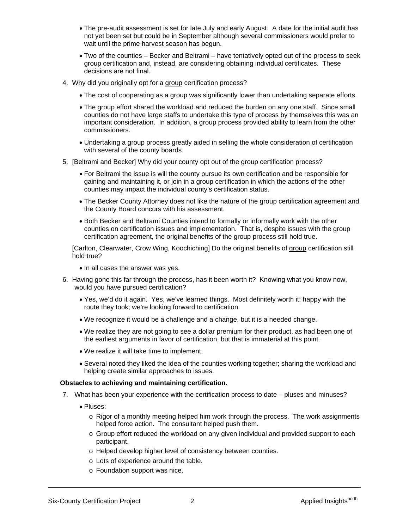- The pre-audit assessment is set for late July and early August. A date for the initial audit has not yet been set but could be in September although several commissioners would prefer to wait until the prime harvest season has begun.
- Two of the counties Becker and Beltrami have tentatively opted out of the process to seek group certification and, instead, are considering obtaining individual certificates. These decisions are not final.
- 4. Why did you originally opt for a group certification process?
	- The cost of cooperating as a group was significantly lower than undertaking separate efforts.
	- The group effort shared the workload and reduced the burden on any one staff. Since small counties do not have large staffs to undertake this type of process by themselves this was an important consideration. In addition, a group process provided ability to learn from the other commissioners.
	- Undertaking a group process greatly aided in selling the whole consideration of certification with several of the county boards.
- 5. [Beltrami and Becker] Why did your county opt out of the group certification process?
	- For Beltrami the issue is will the county pursue its own certification and be responsible for gaining and maintaining it, or join in a group certification in which the actions of the other counties may impact the individual county's certification status.
	- The Becker County Attorney does not like the nature of the group certification agreement and the County Board concurs with his assessment.
	- Both Becker and Beltrami Counties intend to formally or informally work with the other counties on certification issues and implementation. That is, despite issues with the group certification agreement, the original benefits of the group process still hold true.

[Carlton, Clearwater, Crow Wing, Koochiching] Do the original benefits of group certification still hold true?

- In all cases the answer was yes.
- 6. Having gone this far through the process, has it been worth it? Knowing what you know now, would you have pursued certification?
	- Yes, we'd do it again. Yes, we've learned things. Most definitely worth it; happy with the route they took; we're looking forward to certification.
	- We recognize it would be a challenge and a change, but it is a needed change.
	- We realize they are not going to see a dollar premium for their product, as had been one of the earliest arguments in favor of certification, but that is immaterial at this point.
	- We realize it will take time to implement.
	- Several noted they liked the idea of the counties working together; sharing the workload and helping create similar approaches to issues.

### **Obstacles to achieving and maintaining certification.**

- 7. What has been your experience with the certification process to date pluses and minuses?
	- Pluses:
		- o Rigor of a monthly meeting helped him work through the process. The work assignments helped force action. The consultant helped push them.
		- o Group effort reduced the workload on any given individual and provided support to each participant.
		- o Helped develop higher level of consistency between counties.
		- o Lots of experience around the table.
		- o Foundation support was nice.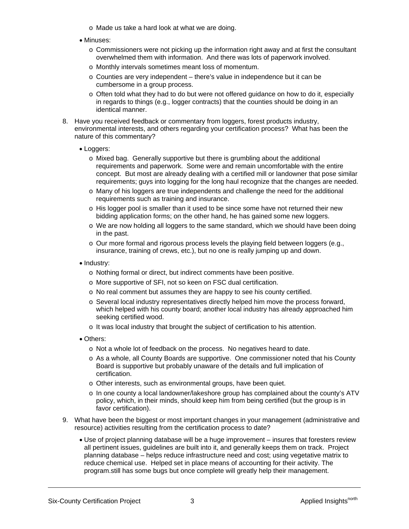- o Made us take a hard look at what we are doing.
- Minuses:
	- $\circ$  Commissioners were not picking up the information right away and at first the consultant overwhelmed them with information. And there was lots of paperwork involved.
	- o Monthly intervals sometimes meant loss of momentum.
	- o Counties are very independent there's value in independence but it can be cumbersome in a group process.
	- o Often told what they had to do but were not offered guidance on how to do it, especially in regards to things (e.g., logger contracts) that the counties should be doing in an identical manner.
- 8. Have you received feedback or commentary from loggers, forest products industry, environmental interests, and others regarding your certification process? What has been the nature of this commentary?
	- Loggers:
		- o Mixed bag. Generally supportive but there is grumbling about the additional requirements and paperwork. Some were and remain uncomfortable with the entire concept. But most are already dealing with a certified mill or landowner that pose similar requirements; guys into logging for the long haul recognize that the changes are needed.
		- o Many of his loggers are true independents and challenge the need for the additional requirements such as training and insurance.
		- o His logger pool is smaller than it used to be since some have not returned their new bidding application forms; on the other hand, he has gained some new loggers.
		- o We are now holding all loggers to the same standard, which we should have been doing in the past.
		- $\circ$  Our more formal and rigorous process levels the playing field between loggers (e.g., insurance, training of crews, etc.), but no one is really jumping up and down.
	- Industry:
		- o Nothing formal or direct, but indirect comments have been positive.
		- o More supportive of SFI, not so keen on FSC dual certification.
		- o No real comment but assumes they are happy to see his county certified.
		- o Several local industry representatives directly helped him move the process forward, which helped with his county board; another local industry has already approached him seeking certified wood.
		- o It was local industry that brought the subject of certification to his attention.
	- Others:
		- o Not a whole lot of feedback on the process. No negatives heard to date.
		- o As a whole, all County Boards are supportive. One commissioner noted that his County Board is supportive but probably unaware of the details and full implication of certification.
		- o Other interests, such as environmental groups, have been quiet.
		- $\circ$  In one county a local landowner/lakeshore group has complained about the county's ATV policy, which, in their minds, should keep him from being certified (but the group is in favor certification).
- 9. What have been the biggest or most important changes in your management (administrative and resource) activities resulting from the certification process to date?
	- Use of project planning database will be a huge improvement insures that foresters review all pertinent issues, guidelines are built into it, and generally keeps them on track. Project planning database – helps reduce infrastructure need and cost; using vegetative matrix to reduce chemical use. Helped set in place means of accounting for their activity. The program.still has some bugs but once complete will greatly help their management.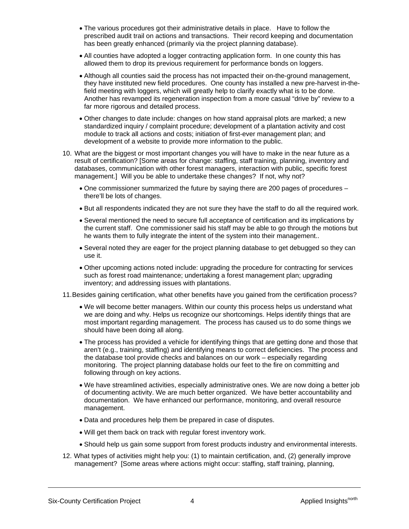- The various procedures got their administrative details in place. Have to follow the prescribed audit trail on actions and transactions. Their record keeping and documentation has been greatly enhanced (primarily via the project planning database).
- All counties have adopted a logger contracting application form. In one county this has allowed them to drop its previous requirement for performance bonds on loggers.
- Although all counties said the process has not impacted their on-the-ground management, they have instituted new field procedures. One county has installed a new pre-harvest in-thefield meeting with loggers, which will greatly help to clarify exactly what is to be done. Another has revamped its regeneration inspection from a more casual "drive by" review to a far more rigorous and detailed process.
- Other changes to date include: changes on how stand appraisal plots are marked; a new standardized inquiry / complaint procedure; development of a plantation activity and cost module to track all actions and costs; initiation of first-ever management plan; and development of a website to provide more information to the public.
- 10. What are the biggest or most important changes you will have to make in the near future as a result of certification? [Some areas for change: staffing, staff training, planning, inventory and databases, communication with other forest managers, interaction with public, specific forest management.] Will you be able to undertake these changes? If not, why not?
	- One commissioner summarized the future by saying there are 200 pages of procedures there'll be lots of changes.
	- But all respondents indicated they are not sure they have the staff to do all the required work.
	- Several mentioned the need to secure full acceptance of certification and its implications by the current staff. One commissioner said his staff may be able to go through the motions but he wants them to fully integrate the intent of the system into their management..
	- Several noted they are eager for the project planning database to get debugged so they can use it.
	- Other upcoming actions noted include: upgrading the procedure for contracting for services such as forest road maintenance; undertaking a forest management plan; upgrading inventory; and addressing issues with plantations.
- 11. Besides gaining certification, what other benefits have you gained from the certification process?
	- We will become better managers. Within our county this process helps us understand what we are doing and why. Helps us recognize our shortcomings. Helps identify things that are most important regarding management. The process has caused us to do some things we should have been doing all along.
	- The process has provided a vehicle for identifying things that are getting done and those that aren't (e.g., training, staffing) and identifying means to correct deficiencies. The process and the database tool provide checks and balances on our work – especially regarding monitoring. The project planning database holds our feet to the fire on committing and following through on key actions.
	- We have streamlined activities, especially administrative ones. We are now doing a better job of documenting activity. We are much better organized. We have better accountability and documentation. We have enhanced our performance, monitoring, and overall resource management.
	- Data and procedures help them be prepared in case of disputes.
	- Will get them back on track with regular forest inventory work.
	- Should help us gain some support from forest products industry and environmental interests.
- 12. What types of activities might help you: (1) to maintain certification, and, (2) generally improve management? [Some areas where actions might occur: staffing, staff training, planning,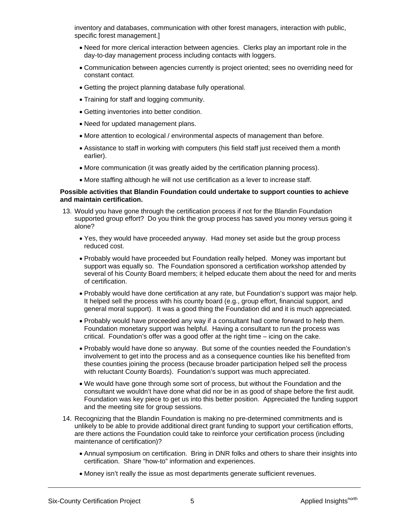inventory and databases, communication with other forest managers, interaction with public, specific forest management.]

- Need for more clerical interaction between agencies. Clerks play an important role in the day-to-day management process including contacts with loggers.
- Communication between agencies currently is project oriented; sees no overriding need for constant contact.
- Getting the project planning database fully operational.
- Training for staff and logging community.
- Getting inventories into better condition.
- Need for updated management plans.
- More attention to ecological / environmental aspects of management than before.
- Assistance to staff in working with computers (his field staff just received them a month earlier).
- More communication (it was greatly aided by the certification planning process).
- More staffing although he will not use certification as a lever to increase staff.

#### **Possible activities that Blandin Foundation could undertake to support counties to achieve and maintain certification.**

- 13. Would you have gone through the certification process if not for the Blandin Foundation supported group effort? Do you think the group process has saved you money versus going it alone?
	- Yes, they would have proceeded anyway. Had money set aside but the group process reduced cost.
	- Probably would have proceeded but Foundation really helped. Money was important but support was equally so. The Foundation sponsored a certification workshop attended by several of his County Board members; it helped educate them about the need for and merits of certification.
	- Probably would have done certification at any rate, but Foundation's support was major help. It helped sell the process with his county board (e.g., group effort, financial support, and general moral support). It was a good thing the Foundation did and it is much appreciated.
	- Probably would have proceeded any way if a consultant had come forward to help them. Foundation monetary support was helpful. Having a consultant to run the process was critical. Foundation's offer was a good offer at the right time – icing on the cake.
	- Probably would have done so anyway. But some of the counties needed the Foundation's involvement to get into the process and as a consequence counties like his benefited from these counties joining the process (because broader participation helped sell the process with reluctant County Boards). Foundation's support was much appreciated.
	- We would have gone through some sort of process, but without the Foundation and the consultant we wouldn't have done what did nor be in as good of shape before the first audit. Foundation was key piece to get us into this better position. Appreciated the funding support and the meeting site for group sessions.
- 14. Recognizing that the Blandin Foundation is making no pre-determined commitments and is unlikely to be able to provide additional direct grant funding to support your certification efforts, are there actions the Foundation could take to reinforce your certification process (including maintenance of certification)?
	- Annual symposium on certification. Bring in DNR folks and others to share their insights into certification. Share "how-to" information and experiences.
	- Money isn't really the issue as most departments generate sufficient revenues.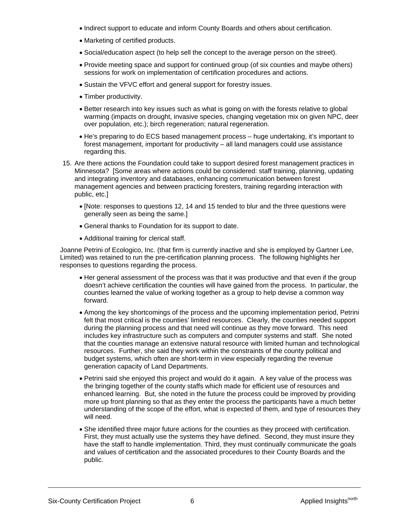- Indirect support to educate and inform County Boards and others about certification.
- Marketing of certified products.
- Social/education aspect (to help sell the concept to the average person on the street).
- Provide meeting space and support for continued group (of six counties and maybe others) sessions for work on implementation of certification procedures and actions.
- Sustain the VFVC effort and general support for forestry issues.
- Timber productivity.
- Better research into key issues such as what is going on with the forests relative to global warming (impacts on drought, invasive species, changing vegetation mix on given NPC, deer over population, etc.); birch regeneration; natural regeneration.
- He's preparing to do ECS based management process huge undertaking, it's important to forest management, important for productivity – all land managers could use assistance regarding this.
- 15. Are there actions the Foundation could take to support desired forest management practices in Minnesota? [Some areas where actions could be considered: staff training, planning, updating and integrating inventory and databases, enhancing communication between forest management agencies and between practicing foresters, training regarding interaction with public, etc.]
	- [Note: responses to questions 12, 14 and 15 tended to blur and the three questions were generally seen as being the same.]
	- General thanks to Foundation for its support to date.
	- Additional training for clerical staff.

Joanne Petrini of Ecologico, Inc. (that firm is currently inactive and she is employed by Gartner Lee, Limited) was retained to run the pre-certification planning process. The following highlights her responses to questions regarding the process.

- Her general assessment of the process was that it was productive and that even if the group doesn't achieve certification the counties will have gained from the process. In particular, the counties learned the value of working together as a group to help devise a common way forward.
- Among the key shortcomings of the process and the upcoming implementation period, Petrini felt that most critical is the counties' limited resources. Clearly, the counties needed support during the planning process and that need will continue as they move forward. This need includes key infrastructure such as computers and computer systems and staff. She noted that the counties manage an extensive natural resource with limited human and technological resources. Further, she said they work within the constraints of the county political and budget systems, which often are short-term in view especially regarding the revenue generation capacity of Land Departments.
- Petrini said she enjoyed this project and would do it again. A key value of the process was the bringing together of the county staffs which made for efficient use of resources and enhanced learning. But, she noted in the future the process could be improved by providing more up front planning so that as they enter the process the participants have a much better understanding of the scope of the effort, what is expected of them, and type of resources they will need.
- She identified three major future actions for the counties as they proceed with certification. First, they must actually use the systems they have defined. Second, they must insure they have the staff to handle implementation. Third, they must continually communicate the goals and values of certification and the associated procedures to their County Boards and the public.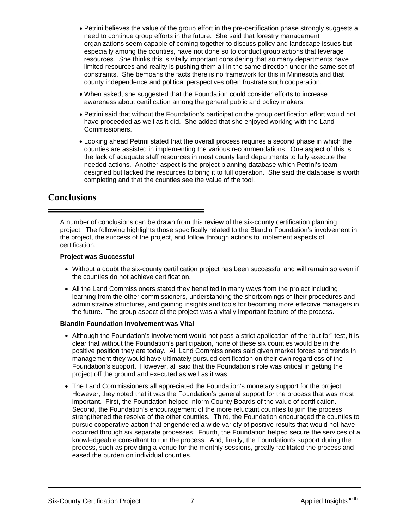- Petrini believes the value of the group effort in the pre-certification phase strongly suggests a need to continue group efforts in the future. She said that forestry management organizations seem capable of coming together to discuss policy and landscape issues but, especially among the counties, have not done so to conduct group actions that leverage resources. She thinks this is vitally important considering that so many departments have limited resources and reality is pushing them all in the same direction under the same set of constraints. She bemoans the facts there is no framework for this in Minnesota and that county independence and political perspectives often frustrate such cooperation.
- When asked, she suggested that the Foundation could consider efforts to increase awareness about certification among the general public and policy makers.
- Petrini said that without the Foundation's participation the group certification effort would not have proceeded as well as it did. She added that she enjoyed working with the Land Commissioners.
- Looking ahead Petrini stated that the overall process requires a second phase in which the counties are assisted in implementing the various recommendations. One aspect of this is the lack of adequate staff resources in most county land departments to fully execute the needed actions. Another aspect is the project planning database which Petrini's team designed but lacked the resources to bring it to full operation. She said the database is worth completing and that the counties see the value of the tool.

### **Conclusions**

A number of conclusions can be drawn from this review of the six-county certification planning project. The following highlights those specifically related to the Blandin Foundation's involvement in the project, the success of the project, and follow through actions to implement aspects of certification.

### **Project was Successful**

- Without a doubt the six-county certification project has been successful and will remain so even if the counties do not achieve certification.
- All the Land Commissioners stated they benefited in many ways from the project including learning from the other commissioners, understanding the shortcomings of their procedures and administrative structures, and gaining insights and tools for becoming more effective managers in the future. The group aspect of the project was a vitally important feature of the process.

### **Blandin Foundation Involvement was Vital**

- Although the Foundation's involvement would not pass a strict application of the "but for" test, it is clear that without the Foundation's participation, none of these six counties would be in the positive position they are today. All Land Commissioners said given market forces and trends in management they would have ultimately pursued certification on their own regardless of the Foundation's support. However, all said that the Foundation's role was critical in getting the project off the ground and executed as well as it was.
- The Land Commissioners all appreciated the Foundation's monetary support for the project. However, they noted that it was the Foundation's general support for the process that was most important. First, the Foundation helped inform County Boards of the value of certification. Second, the Foundation's encouragement of the more reluctant counties to join the process strengthened the resolve of the other counties. Third, the Foundation encouraged the counties to pursue cooperative action that engendered a wide variety of positive results that would not have occurred through six separate processes. Fourth, the Foundation helped secure the services of a knowledgeable consultant to run the process. And, finally, the Foundation's support during the process, such as providing a venue for the monthly sessions, greatly facilitated the process and eased the burden on individual counties.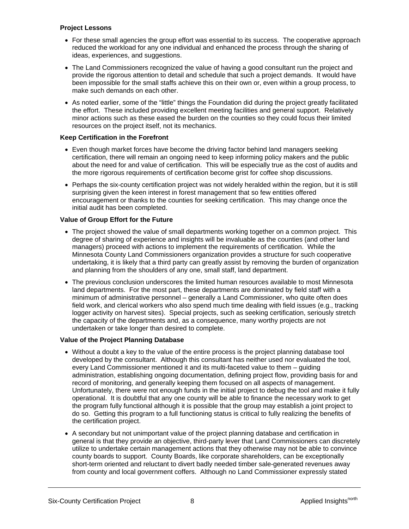### **Project Lessons**

- For these small agencies the group effort was essential to its success. The cooperative approach reduced the workload for any one individual and enhanced the process through the sharing of ideas, experiences, and suggestions.
- The Land Commissioners recognized the value of having a good consultant run the project and provide the rigorous attention to detail and schedule that such a project demands. It would have been impossible for the small staffs achieve this on their own or, even within a group process, to make such demands on each other.
- As noted earlier, some of the "little" things the Foundation did during the project greatly facilitated the effort. These included providing excellent meeting facilities and general support. Relatively minor actions such as these eased the burden on the counties so they could focus their limited resources on the project itself, not its mechanics.

### **Keep Certification in the Forefront**

- Even though market forces have become the driving factor behind land managers seeking certification, there will remain an ongoing need to keep informing policy makers and the public about the need for and value of certification. This will be especially true as the cost of audits and the more rigorous requirements of certification become grist for coffee shop discussions.
- Perhaps the six-county certification project was not widely heralded within the region, but it is still surprising given the keen interest in forest management that so few entities offered encouragement or thanks to the counties for seeking certification. This may change once the initial audit has been completed.

### **Value of Group Effort for the Future**

- The project showed the value of small departments working together on a common project. This degree of sharing of experience and insights will be invaluable as the counties (and other land managers) proceed with actions to implement the requirements of certification. While the Minnesota County Land Commissioners organization provides a structure for such cooperative undertaking, it is likely that a third party can greatly assist by removing the burden of organization and planning from the shoulders of any one, small staff, land department.
- The previous conclusion underscores the limited human resources available to most Minnesota land departments. For the most part, these departments are dominated by field staff with a minimum of administrative personnel – generally a Land Commissioner, who quite often does field work, and clerical workers who also spend much time dealing with field issues (e.g., tracking logger activity on harvest sites). Special projects, such as seeking certification, seriously stretch the capacity of the departments and, as a consequence, many worthy projects are not undertaken or take longer than desired to complete.

### **Value of the Project Planning Database**

- Without a doubt a key to the value of the entire process is the project planning database tool developed by the consultant. Although this consultant has neither used nor evaluated the tool, every Land Commissioner mentioned it and its multi-faceted value to them – guiding administration, establishing ongoing documentation, defining project flow, providing basis for and record of monitoring, and generally keeping them focused on all aspects of management. Unfortunately, there were not enough funds in the initial project to debug the tool and make it fully operational. It is doubtful that any one county will be able to finance the necessary work to get the program fully functional although it is possible that the group may establish a joint project to do so. Getting this program to a full functioning status is critical to fully realizing the benefits of the certification project.
- A secondary but not unimportant value of the project planning database and certification in general is that they provide an objective, third-party lever that Land Commissioners can discretely utilize to undertake certain management actions that they otherwise may not be able to convince county boards to support. County Boards, like corporate shareholders, can be exceptionally short-term oriented and reluctant to divert badly needed timber sale-generated revenues away from county and local government coffers. Although no Land Commissioner expressly stated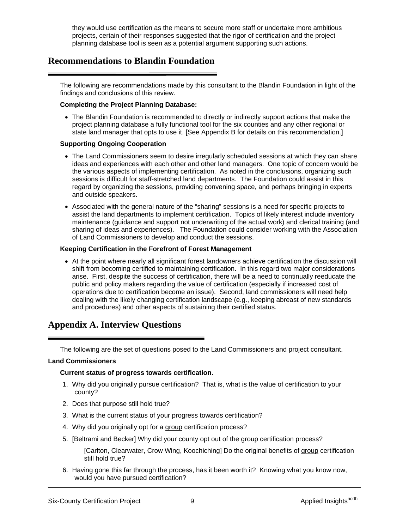they would use certification as the means to secure more staff or undertake more ambitious projects, certain of their responses suggested that the rigor of certification and the project planning database tool is seen as a potential argument supporting such actions.

### **Recommendations to Blandin Foundation**

The following are recommendations made by this consultant to the Blandin Foundation in light of the findings and conclusions of this review.

### **Completing the Project Planning Database:**

• The Blandin Foundation is recommended to directly or indirectly support actions that make the project planning database a fully functional tool for the six counties and any other regional or state land manager that opts to use it. [See Appendix B for details on this recommendation.]

### **Supporting Ongoing Cooperation**

- The Land Commissioners seem to desire irregularly scheduled sessions at which they can share ideas and experiences with each other and other land managers. One topic of concern would be the various aspects of implementing certification. As noted in the conclusions, organizing such sessions is difficult for staff-stretched land departments. The Foundation could assist in this regard by organizing the sessions, providing convening space, and perhaps bringing in experts and outside speakers.
- Associated with the general nature of the "sharing" sessions is a need for specific projects to assist the land departments to implement certification. Topics of likely interest include inventory maintenance (guidance and support not underwriting of the actual work) and clerical training (and sharing of ideas and experiences). The Foundation could consider working with the Association of Land Commissioners to develop and conduct the sessions.

### **Keeping Certification in the Forefront of Forest Management**

• At the point where nearly all significant forest landowners achieve certification the discussion will shift from becoming certified to maintaining certification. In this regard two major considerations arise. First, despite the success of certification, there will be a need to continually reeducate the public and policy makers regarding the value of certification (especially if increased cost of operations due to certification become an issue). Second, land commissioners will need help dealing with the likely changing certification landscape (e.g., keeping abreast of new standards and procedures) and other aspects of sustaining their certified status.

### **Appendix A. Interview Questions**

The following are the set of questions posed to the Land Commissioners and project consultant.

### **Land Commissioners**

### **Current status of progress towards certification.**

- 1. Why did you originally pursue certification? That is, what is the value of certification to your county?
- 2. Does that purpose still hold true?
- 3. What is the current status of your progress towards certification?
- 4. Why did you originally opt for a group certification process?
- 5. [Beltrami and Becker] Why did your county opt out of the group certification process?

[Carlton, Clearwater, Crow Wing, Koochiching] Do the original benefits of group certification still hold true?

6. Having gone this far through the process, has it been worth it? Knowing what you know now, would you have pursued certification?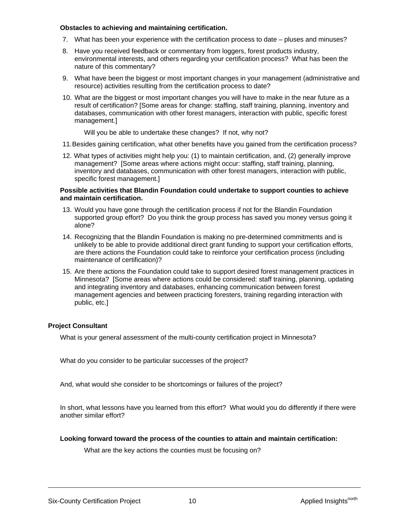#### **Obstacles to achieving and maintaining certification.**

- 7. What has been your experience with the certification process to date pluses and minuses?
- 8. Have you received feedback or commentary from loggers, forest products industry, environmental interests, and others regarding your certification process? What has been the nature of this commentary?
- 9. What have been the biggest or most important changes in your management (administrative and resource) activities resulting from the certification process to date?
- 10. What are the biggest or most important changes you will have to make in the near future as a result of certification? [Some areas for change: staffing, staff training, planning, inventory and databases, communication with other forest managers, interaction with public, specific forest management.]

Will you be able to undertake these changes? If not, why not?

- 11. Besides gaining certification, what other benefits have you gained from the certification process?
- 12. What types of activities might help you: (1) to maintain certification, and, (2) generally improve management? [Some areas where actions might occur: staffing, staff training, planning, inventory and databases, communication with other forest managers, interaction with public, specific forest management.]

#### **Possible activities that Blandin Foundation could undertake to support counties to achieve and maintain certification.**

- 13. Would you have gone through the certification process if not for the Blandin Foundation supported group effort? Do you think the group process has saved you money versus going it alone?
- 14. Recognizing that the Blandin Foundation is making no pre-determined commitments and is unlikely to be able to provide additional direct grant funding to support your certification efforts, are there actions the Foundation could take to reinforce your certification process (including maintenance of certification)?
- 15. Are there actions the Foundation could take to support desired forest management practices in Minnesota? [Some areas where actions could be considered: staff training, planning, updating and integrating inventory and databases, enhancing communication between forest management agencies and between practicing foresters, training regarding interaction with public, etc.]

### **Project Consultant**

What is your general assessment of the multi-county certification project in Minnesota?

What do you consider to be particular successes of the project?

And, what would she consider to be shortcomings or failures of the project?

In short, what lessons have you learned from this effort? What would you do differently if there were another similar effort?

### **Looking forward toward the process of the counties to attain and maintain certification:**

What are the key actions the counties must be focusing on?